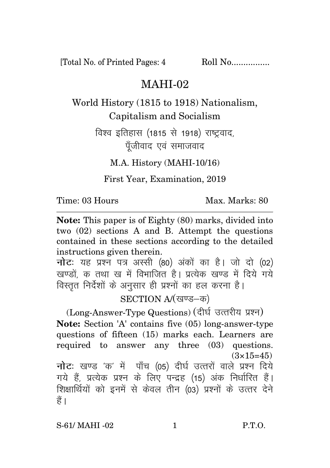Total No. of Printed Pages: 4

Roll No................

## $MAHI-02$

World History (1815 to 1918) Nationalism, Capitalism and Socialism

> विश्व इतिहास (1815 से 1918) राष्ट्रवाद, पँजीवाद एवं समाजवाद

> > M.A. History (MAHI-10/16)

First Year, Examination, 2019

Time: 03 Hours

Max. Marks: 80

**Note:** This paper is of Eighty (80) marks, divided into two  $(02)$  sections A and B. Attempt the questions contained in these sections according to the detailed instructions given therein.

नोट: यह प्रश्न पत्र अस्सी (80) अंकों का है। जो दो (02) खण्डों, क तथा ख में विभाजित है। प्रत्येक खण्ड में दिये गये विस्तृत निर्देशों के अनुसार ही प्रश्नों का हल करना है।

SECTION A/(खण्ड-क)

(Long-Answer-Type Questions) (दीर्घ उत्तरीय प्रश्न) **Note:** Section 'A' contains five (05) long-answer-type questions of fifteen (15) marks each. Learners are required to answer any three (03) questions.  $(3 \times 15 = 45)$ 

नोट: खण्ड 'क' में पाँच (05) दीर्घ उत्तरों वाले प्रश्न दिये गये हैं. प्रत्येक प्रश्न के लिए पन्द्रह (15) अंक निर्धारित हैं। शिक्षार्थियों को इनमें से केवल तीन (03) प्रश्नों के उत्तर देने हैं ।

S-61/ MAHI -02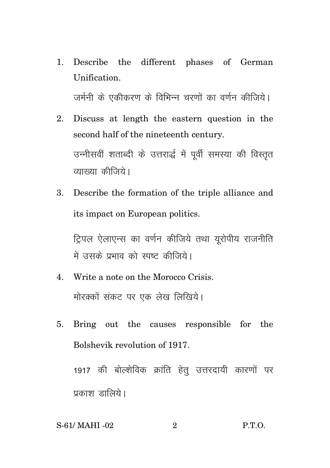Describe the different phases of German  $\mathbf{1}$ . Unification.

जर्मनी के एकीकरण के विभिन्न चरणों का वर्णन कीजिये।

- Discuss at length the eastern question in the  $2^{1}$ second half of the nineteenth century. उन्नीसवीं शताब्दी के उत्तरार्द्ध में पूर्वी समस्या की विस्तुत व्याख्या कीजिये।
- 3. Describe the formation of the triple alliance and its impact on European politics.

ट्रिपल ऐलाएन्स का वर्णन कीजिये तथा युरोपीय राजनीति में उसके प्रभाव को स्पष्ट कीजिये।

- 4. Write a note on the Morocco Crisis. मोरक्कों संकट पर एक लेख लिखिये।
- Bring out the causes responsible for the 5. Bolshevik revolution of 1917.

1917 की बोल्शेविक क्रांति हेत् उत्तरदायी कारणों पर प्रकाश डालिये।

$$
S-61/ MAHI -02 \t\t 2 \t\t P.T.O
$$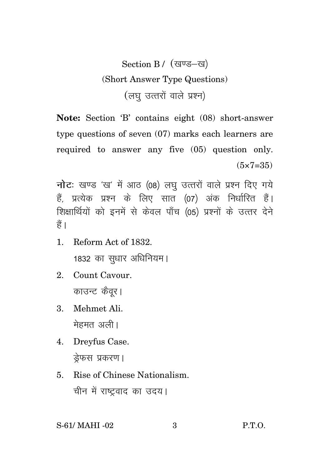## Section B / (खण्ड-ख) (Short Answer Type Questions) (लघ उत्तरों वाले प्रश्न)

**Note:** Section 'B' contains eight (08) short-answer type questions of seven (07) marks each learners are required to answer any five (05) question only.  $(5 \times 7 = 35)$ 

**नोट**: खण्ड 'ख' में आठ (08) लघु उत्तरों वाले प्रश्न दिए गये हैं, प्रत्येक प्रश्न के लिए सात (07) अंक निर्धारित हैं। शिक्षार्थियों को इनमें से केवल पाँच (05) प्रश्नों के उत्तर देने  $\frac{2}{5}$ 

- 1. Reform Act of 1832. 1832 का सुधार अधिनियम।
- 2. Count Cavour. काउन्ट कैवर।
- 3. Mehmet Ali. मेहमत अली।
- 4. Dreyfus Case. डेफस प्रकरण।
- 5. Rise of Chinese Nationalism. चीन में राष्टवाद का उदय।

S-61/ MAHI -02 3 P.T.O.